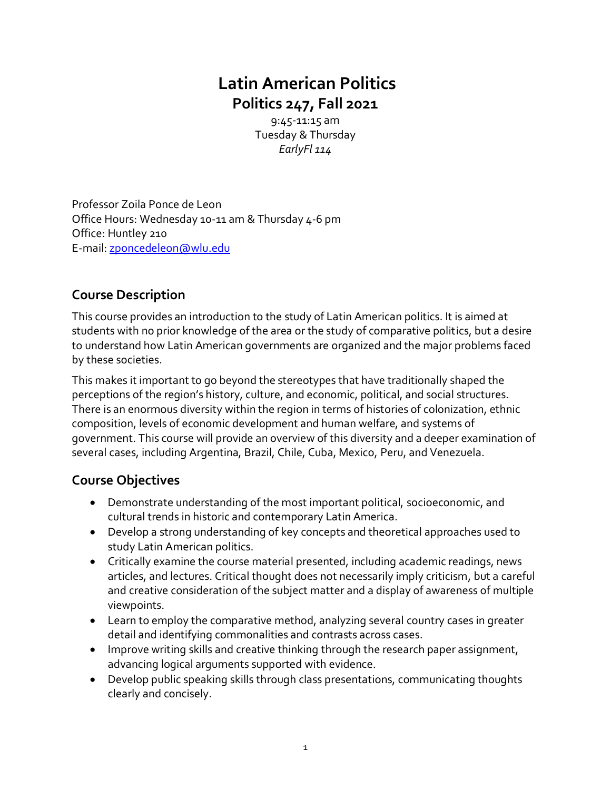# **Latin American Politics Politics 247, Fall 2021**

9:45-11:15 am Tuesday & Thursday *EarlyFl 114* 

Professor Zoila Ponce de Leon Office Hours: Wednesday 10-11 am & Thursday 4-6 pm Office: Huntley 210 E-mail[: zponcedeleon@wlu.edu](mailto:zponcedeleon@wlu.edu)

# **Course Description**

This course provides an introduction to the study of Latin American politics. It is aimed at students with no prior knowledge of the area or the study of comparative politics, but a desire to understand how Latin American governments are organized and the major problems faced by these societies.

This makes it important to go beyond the stereotypes that have traditionally shaped the perceptions of the region's history, culture, and economic, political, and social structures. There is an enormous diversity within the region in terms of histories of colonization, ethnic composition, levels of economic development and human welfare, and systems of government. This course will provide an overview of this diversity and a deeper examination of several cases, including Argentina, Brazil, Chile, Cuba, Mexico, Peru, and Venezuela.

# **Course Objectives**

- Demonstrate understanding of the most important political, socioeconomic, and cultural trends in historic and contemporary Latin America.
- Develop a strong understanding of key concepts and theoretical approaches used to study Latin American politics.
- Critically examine the course material presented, including academic readings, news articles, and lectures. Critical thought does not necessarily imply criticism, but a careful and creative consideration of the subject matter and a display of awareness of multiple viewpoints.
- Learn to employ the comparative method, analyzing several country cases in greater detail and identifying commonalities and contrasts across cases.
- Improve writing skills and creative thinking through the research paper assignment, advancing logical arguments supported with evidence.
- Develop public speaking skills through class presentations, communicating thoughts clearly and concisely.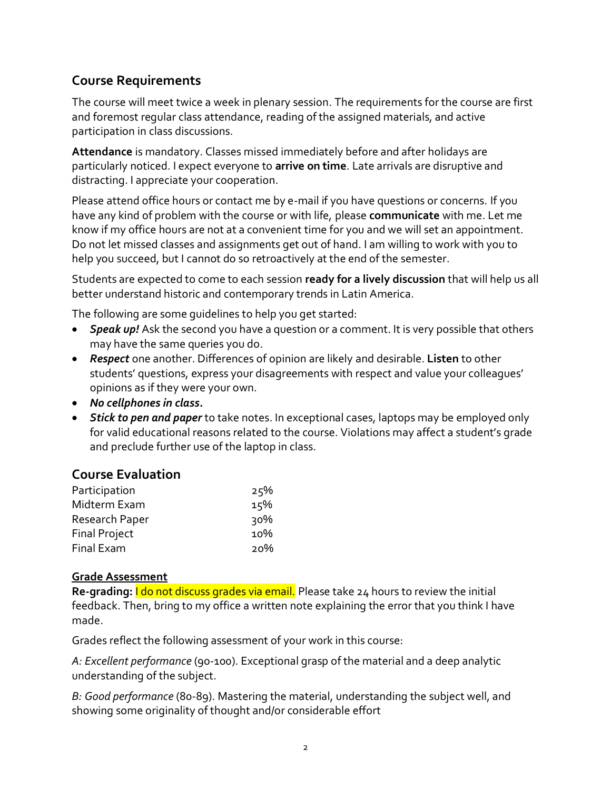## **Course Requirements**

The course will meet twice a week in plenary session. The requirements for the course are first and foremost regular class attendance, reading of the assigned materials, and active participation in class discussions.

**Attendance** is mandatory. Classes missed immediately before and after holidays are particularly noticed. I expect everyone to **arrive on time**. Late arrivals are disruptive and distracting. I appreciate your cooperation.

Please attend office hours or contact me by e-mail if you have questions or concerns. If you have any kind of problem with the course or with life, please **communicate** with me. Let me know if my office hours are not at a convenient time for you and we will set an appointment. Do not let missed classes and assignments get out of hand. I am willing to work with you to help you succeed, but I cannot do so retroactively at the end of the semester.

Students are expected to come to each session **ready for a lively discussion** that will help us all better understand historic and contemporary trends in Latin America.

The following are some guidelines to help you get started:

- *Speak up!* Ask the second you have a question or a comment. It is very possible that others may have the same queries you do.
- *Respect* one another. Differences of opinion are likely and desirable. **Listen** to other students' questions, express your disagreements with respect and value your colleagues' opinions as if they were your own.
- *No cellphones in class.*
- *Stick to pen and paper* to take notes. In exceptional cases, laptops may be employed only for valid educational reasons related to the course. Violations may affect a student's grade and preclude further use of the laptop in class.

#### **Course Evaluation**

| Participation        | 25% |
|----------------------|-----|
| Midterm Exam         | 15% |
| Research Paper       | 30% |
| <b>Final Project</b> | 10% |
| <b>Final Exam</b>    | 20% |

#### **Grade Assessment**

**Re-grading:** I do not discuss grades via email. Please take 24 hours to review the initial feedback. Then, bring to my office a written note explaining the error that you think I have made.

Grades reflect the following assessment of your work in this course:

*A: Excellent performance* (90-100). Exceptional grasp of the material and a deep analytic understanding of the subject.

*B: Good performance* (80-89). Mastering the material, understanding the subject well, and showing some originality of thought and/or considerable effort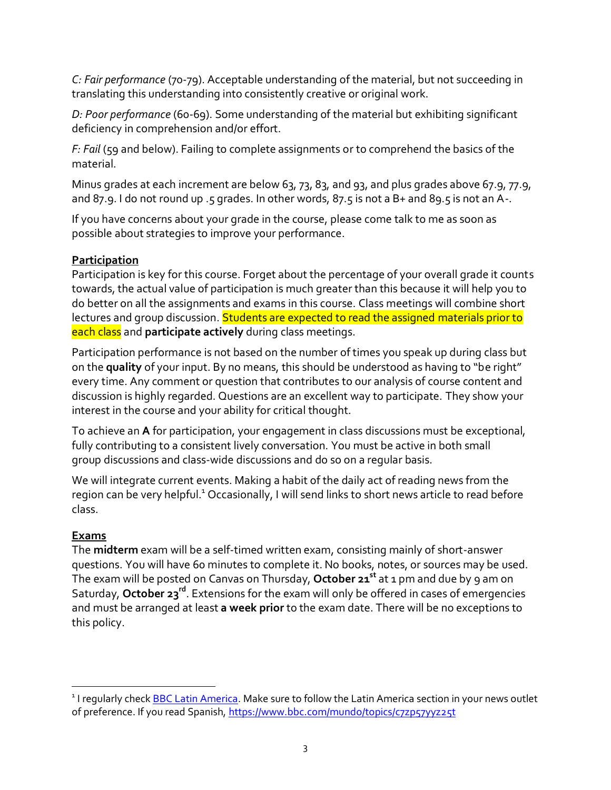*C: Fair performance* (70-79). Acceptable understanding of the material, but not succeeding in translating this understanding into consistently creative or original work.

*D: Poor performance* (60-69). Some understanding of the material but exhibiting significant deficiency in comprehension and/or effort.

*F: Fail* (59 and below). Failing to complete assignments or to comprehend the basics of the material.

Minus grades at each increment are below 63, 73, 83, and 93, and plus grades above 67.9, 77.9, and 87.9. I do not round up .5 grades. In other words, 87.5 is not a B+ and 89.5 is not an A-.

If you have concerns about your grade in the course, please come talk to me as soon as possible about strategies to improve your performance.

#### **Participation**

Participation is key for this course. Forget about the percentage of your overall grade it counts towards, the actual value of participation is much greater than this because it will help you to do better on all the assignments and exams in this course. Class meetings will combine short lectures and group discussion. Students are expected to read the assigned materials prior to each class and **participate actively** during class meetings.

Participation performance is not based on the number of times you speak up during class but on the **quality** of your input. By no means, this should be understood as having to "be right" every time. Any comment or question that contributes to our analysis of course content and discussion is highly regarded. Questions are an excellent way to participate. They show your interest in the course and your ability for critical thought.

To achieve an **A** for participation, your engagement in class discussions must be exceptional, fully contributing to a consistent lively conversation. You must be active in both small group discussions and class-wide discussions and do so on a regular basis.

We will integrate current events. Making a habit of the daily act of reading news from the region can be very helpful.<sup>1</sup> Occasionally, I will send links to short news article to read before class.

### **Exams**

The **midterm** exam will be a self-timed written exam, consisting mainly of short-answer questions. You will have 60 minutes to complete it. No books, notes, or sources may be used. The exam will be posted on Canvas on Thursday, **October 21 st** at 1 pm and due by 9 am on Saturday, **October 23 rd**. Extensions for the exam will only be offered in cases of emergencies and must be arranged at least **a week prior** to the exam date. There will be no exceptions to this policy.

<sup>&</sup>lt;sup>1</sup> I regularly check <u>BBC Latin America</u>. Make sure to follow the Latin America section in your news outlet of preference. If you read Spanish,<https://www.bbc.com/mundo/topics/c7zp57yyz25t>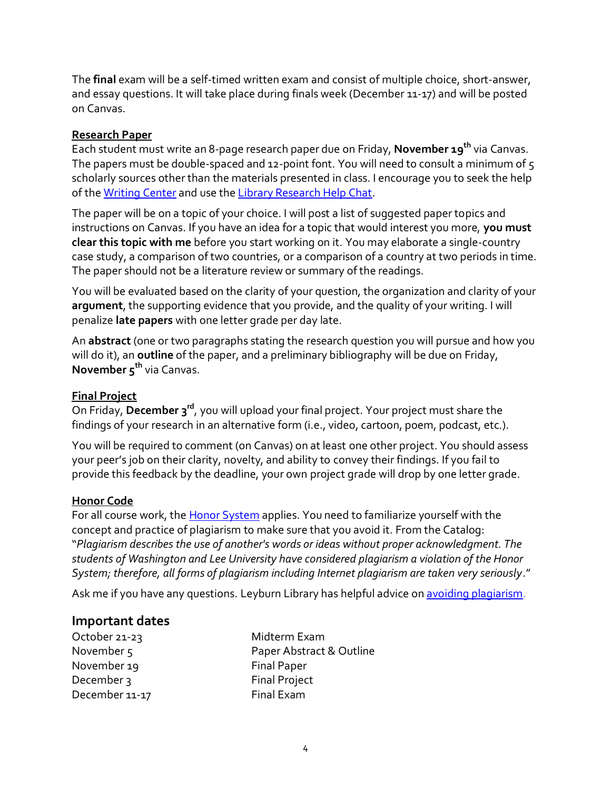The **final** exam will be a self-timed written exam and consist of multiple choice, short-answer, and essay questions. It will take place during finals week (December 11-17) and will be posted on Canvas.

#### **Research Paper**

Each student must write an 8-page research paper due on Friday, **November 19th** via Canvas. The papers must be double-spaced and 12-point font. You will need to consult a minimum of 5 scholarly sources other than the materials presented in class. I encourage you to seek the help of th[e Writing Center](https://www.wlu.edu/writing-program/writing-center) and use th[e Library Research Help Chat.](https://library.wlu.edu/)

The paper will be on a topic of your choice. I will post a list of suggested paper topics and instructions on Canvas. If you have an idea for a topic that would interest you more, **you must clear this topic with me** before you start working on it. You may elaborate a single-country case study, a comparison of two countries, or a comparison of a country at two periods in time. The paper should not be a literature review or summary of the readings.

You will be evaluated based on the clarity of your question, the organization and clarity of your **argument**, the supporting evidence that you provide, and the quality of your writing. I will penalize **late papers** with one letter grade per day late.

An **abstract** (one or two paragraphs stating the research question you will pursue and how you will do it), an **outline** of the paper, and a preliminary bibliography will be due on Friday, **November 5 th** via Canvas.

#### **Final Project**

On Friday, **December 3 rd**, you will upload your final project. Your project must share the findings of your research in an alternative form (i.e., video, cartoon, poem, podcast, etc.).

You will be required to comment (on Canvas) on at least one other project. You should assess your peer's job on their clarity, novelty, and ability to convey their findings. If you fail to provide this feedback by the deadline, your own project grade will drop by one letter grade.

#### **Honor Code**

For all course work, the **Honor System** applies. You need to familiarize yourself with the concept and practice of plagiarism to make sure that you avoid it. From the Catalog: "*Plagiarism describes the use of another's words or ideas without proper acknowledgment. The students of Washington and Lee University have considered plagiarism a violation of the Honor System; therefore, all forms of plagiarism including Internet plagiarism are taken very seriously*."

Ask me if you have any questions. Leyburn Library has helpful advice o[n avoiding plagiarism.](https://libguides.wlu.edu/plagiarism)

#### **Important dates**

| October 21-23  | Midterm Exam             |
|----------------|--------------------------|
| November $5$   | Paper Abstract & Outline |
| November 19    | <b>Final Paper</b>       |
| December 3     | <b>Final Project</b>     |
| December 11-17 | Final Exam               |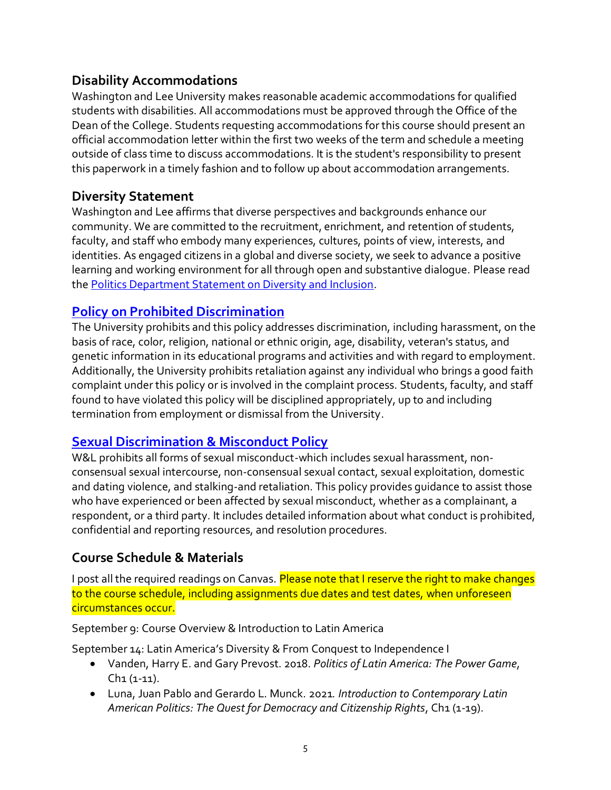### **Disability Accommodations**

Washington and Lee University makes reasonable academic accommodations for qualified students with disabilities. All accommodations must be approved through the Office of the Dean of the College. Students requesting accommodations for this course should present an official accommodation letter within the first two weeks of the term and schedule a meeting outside of class time to discuss accommodations. It is the student's responsibility to present this paperwork in a timely fashion and to follow up about accommodation arrangements.

### **Diversity Statement**

Washington and Lee affirms that diverse perspectives and backgrounds enhance our community. We are committed to the recruitment, enrichment, and retention of students, faculty, and staff who embody many experiences, cultures, points of view, interests, and identities. As engaged citizens in a global and diverse society, we seek to advance a positive learning and working environment for all through open and substantive dialogue. Please read the [Politics Department Statement on Diversity and Inclusion.](https://my.wlu.edu/the-williams-school/departments-and-programs/politics/852020-a-message-from-the-politics-department)

### **[Policy on Prohibited Discrimination](https://my.wlu.edu/general-counsel/code-of-policies/discrimination-harassment-and-retaliation/university-policy-on-prohibited-discrimination-harassment-and-retaliation-other-than-sex)**

The University prohibits and this policy addresses discrimination, including harassment, on the basis of race, color, religion, national or ethnic origin, age, disability, veteran's status, and genetic information in its educational programs and activities and with regard to employment. Additionally, the University prohibits retaliation against any individual who brings a good faith complaint under this policy or is involved in the complaint process. Students, faculty, and staff found to have violated this policy will be disciplined appropriately, up to and including termination from employment or dismissal from the University.

### **[Sexual Discrimination & Misconduct Policy](https://my.wlu.edu/general-counsel/code-of-policies/discrimination-harassment-and-retaliation/sexual-discrimination-and-misconduct-policy)**

W&L prohibits all forms of sexual misconduct-which includes sexual harassment, nonconsensual sexual intercourse, non-consensual sexual contact, sexual exploitation, domestic and dating violence, and stalking-and retaliation. This policy provides guidance to assist those who have experienced or been affected by sexual misconduct, whether as a complainant, a respondent, or a third party. It includes detailed information about what conduct is prohibited, confidential and reporting resources, and resolution procedures.

### **Course Schedule & Materials**

I post all the required readings on Canvas. Please note that I reserve the right to make changes to the course schedule, including assignments due dates and test dates, when unforeseen circumstances occur.

September 9: Course Overview & Introduction to Latin America

September 14: Latin America's Diversity & From Conquest to Independence I

- Vanden, Harry E. and Gary Prevost. 2018. *Politics of Latin America: The Power Game*, Ch1 (1-11).
- Luna, Juan Pablo and Gerardo L. Munck. 2021*. Introduction to Contemporary Latin*  American Politics: The Quest for Democracy and Citizenship Rights, Ch1 (1-19).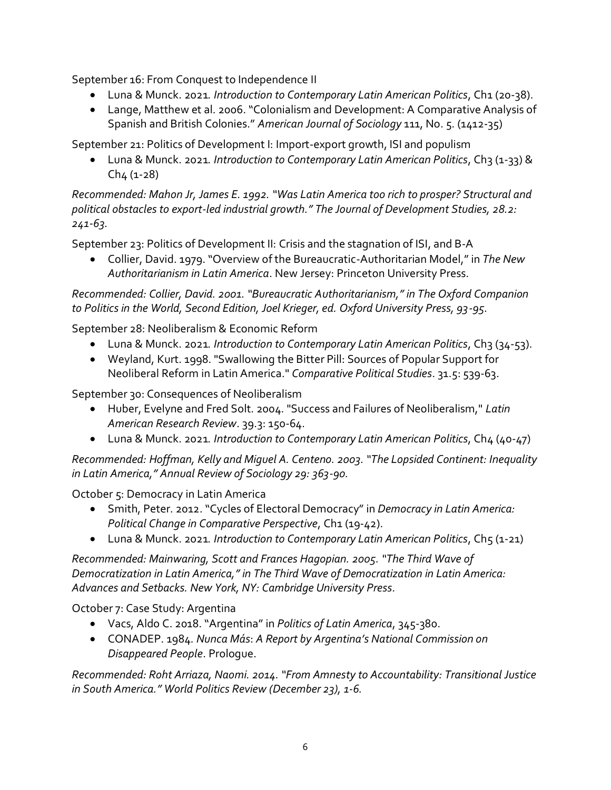September 16: From Conquest to Independence II

- Luna & Munck. 2021*. Introduction to Contemporary Latin American Politics*, Ch1 (20-38).
- Lange, Matthew et al. 2006. "Colonialism and Development: A Comparative Analysis of Spanish and British Colonies." *American Journal of Sociology* 111, No. 5. (1412-35)

September 21: Politics of Development I: Import-export growth, ISI and populism

• Luna & Munck. 2021. Introduction to Contemporary Latin American Politics, Ch3 (1-33) &  $Ch<sub>4</sub>$  (1-28)

*Recommended: Mahon Jr, James E. 1992. "Was Latin America too rich to prosper? Structural and political obstacles to export-led industrial growth." The Journal of Development Studies, 28.2: 241-63.* 

September 23: Politics of Development II: Crisis and the stagnation of ISI, and B-A

• Collier, David. 1979. "Overview of the Bureaucratic-Authoritarian Model," in *The New Authoritarianism in Latin America*. New Jersey: Princeton University Press.

*Recommended: Collier, David. 2001. "Bureaucratic Authoritarianism," in The Oxford Companion to Politics in the World, Second Edition, Joel Krieger, ed. Oxford University Press, 93-95.*

September 28: Neoliberalism & Economic Reform

- Luna & Munck. 2021*. Introduction to Contemporary Latin American Politics*, Ch3 (34-53).
- Weyland, Kurt. 1998. "Swallowing the Bitter Pill: Sources of Popular Support for Neoliberal Reform in Latin America." *Comparative Political Studies*. 31.5: 539-63.

September 30: Consequences of Neoliberalism

- Huber, Evelyne and Fred Solt. 2004. "Success and Failures of Neoliberalism," *Latin American Research Review*. 39.3: 150-64.
- Luna & Munck. 2021*. Introduction to Contemporary Latin American Politics*, Ch4 (40-47)

*Recommended: Hoffman, Kelly and Miguel A. Centeno. 2003. "The Lopsided Continent: Inequality in Latin America," Annual Review of Sociology 29: 363-90.* 

October 5: Democracy in Latin America

- Smith, Peter. 2012. "Cycles of Electoral Democracy" in *Democracy in Latin America: Political Change in Comparative Perspective, Ch1 (19-42).*
- Luna & Munck. 2021. Introduction to Contemporary Latin American Politics, Ch5 (1-21)

*Recommended: Mainwaring, Scott and Frances Hagopian. 2005. "The Third Wave of Democratization in Latin America," in The Third Wave of Democratization in Latin America: Advances and Setbacks. New York, NY: Cambridge University Press.*

October 7: Case Study: Argentina

- Vacs, Aldo C. 2018."Argentina" in *Politics of Latin America*, 345-380.
- CONADEP. 1984. *Nunca Más*: *A Report by Argentina's National Commission on Disappeared People*. Prologue.

*Recommended: Roht Arriaza, Naomi. 2014. "From Amnesty to Accountability: Transitional Justice in South America." World Politics Review (December 23), 1-6.*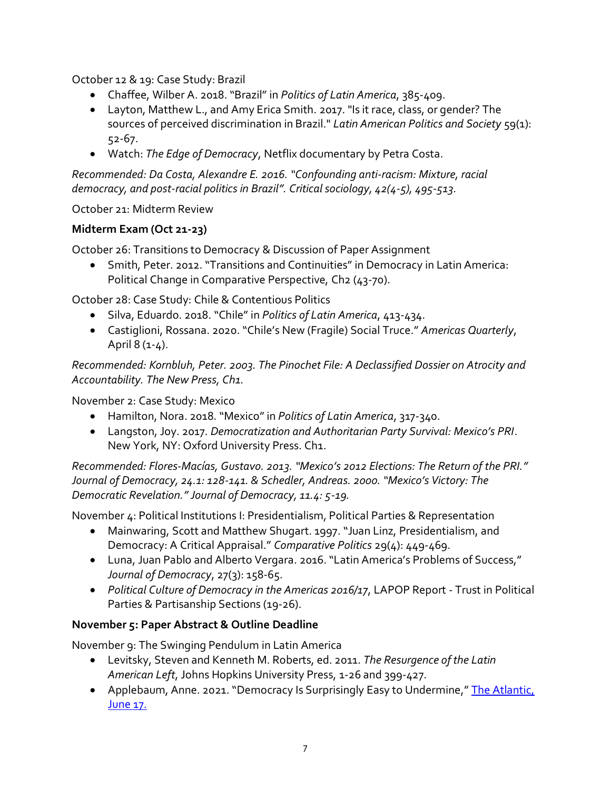October 12 & 19: Case Study: Brazil

- Chaffee, Wilber A. 2018. "Brazil" in *Politics of Latin America*, 385-409.
- Layton, Matthew L., and Amy Erica Smith. 2017. "Is it race, class, or gender? The sources of perceived discrimination in Brazil." *Latin American Politics and Society* 59(1): 52-67.
- Watch: *The Edge of Democracy*, Netflix documentary by Petra Costa.

*Recommended: Da Costa, Alexandre E. 2016. "Confounding anti-racism: Mixture, racial democracy, and post-racial politics in Brazil". Critical sociology, 42(4-5), 495-513.*

October 21: Midterm Review

### **Midterm Exam (Oct 21-23)**

October 26: Transitions to Democracy & Discussion of Paper Assignment

• Smith, Peter. 2012. "Transitions and Continuities" in Democracy in Latin America: Political Change in Comparative Perspective, Ch2 (43-70).

October 28: Case Study: Chile & Contentious Politics

- Silva, Eduardo. 2018. "Chile" in *Politics of Latin America*, 413-434.
- Castiglioni, Rossana. 2020. "Chile's New (Fragile) Social Truce." *Americas Quarterly*, April 8 (1-4).

*Recommended: Kornbluh, Peter. 2003. The Pinochet File: A Declassified Dossier on Atrocity and Accountability. The New Press, Ch1.* 

November 2: Case Study: Mexico

- Hamilton, Nora. 2018. "Mexico" in *Politics of Latin America*, 317-340.
- Langston, Joy. 2017. *Democratization and Authoritarian Party Survival: Mexico's PRI*. New York, NY: Oxford University Press. Ch1.

*Recommended: Flores-Macías, Gustavo. 2013. "Mexico's 2012 Elections: The Return of the PRI." Journal of Democracy, 24.1: 128-141. & Schedler, Andreas. 2000. "Mexico's Victory: The Democratic Revelation." Journal of Democracy, 11.4: 5-19.* 

November 4: Political Institutions I: Presidentialism, Political Parties & Representation

- Mainwaring, Scott and Matthew Shugart. 1997. "Juan Linz, Presidentialism, and Democracy: A Critical Appraisal." *Comparative Politics* 29(4): 449-469.
- Luna, Juan Pablo and Alberto Vergara. 2016. "Latin America's Problems of Success," *Journal of Democracy*, 27(3): 158-65.
- *Political Culture of Democracy in the Americas 2016/17*, LAPOP Report Trust in Political Parties & Partisanship Sections (19-26).

### **November 5: Paper Abstract & Outline Deadline**

November 9: The Swinging Pendulum in Latin America

- Levitsky, Steven and Kenneth M. Roberts, ed. 2011. *The Resurgence of the Latin American Left*, Johns Hopkins University Press, 1-26 and 399-427.
- Applebaum, Anne. 2021. "Democracy Is Surprisingly Easy to Undermine," The Atlantic, [June 17.](https://www.theatlantic.com/ideas/archive/2021/06/trump-fraud-stop-steal-copycats/619226/)